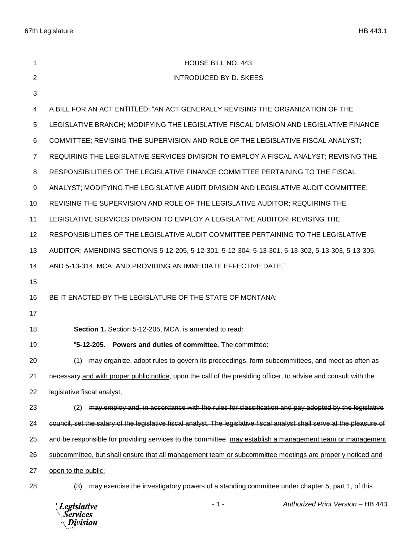| 1  | <b>HOUSE BILL NO. 443</b>                                                                                                |
|----|--------------------------------------------------------------------------------------------------------------------------|
|    |                                                                                                                          |
| 2  | <b>INTRODUCED BY D. SKEES</b>                                                                                            |
| 3  |                                                                                                                          |
| 4  | A BILL FOR AN ACT ENTITLED: "AN ACT GENERALLY REVISING THE ORGANIZATION OF THE                                           |
| 5  | LEGISLATIVE BRANCH; MODIFYING THE LEGISLATIVE FISCAL DIVISION AND LEGISLATIVE FINANCE                                    |
| 6  | COMMITTEE; REVISING THE SUPERVISION AND ROLE OF THE LEGISLATIVE FISCAL ANALYST;                                          |
| 7  | REQUIRING THE LEGISLATIVE SERVICES DIVISION TO EMPLOY A FISCAL ANALYST; REVISING THE                                     |
| 8  | RESPONSIBILITIES OF THE LEGISLATIVE FINANCE COMMITTEE PERTAINING TO THE FISCAL                                           |
| 9  | ANALYST; MODIFYING THE LEGISLATIVE AUDIT DIVISION AND LEGISLATIVE AUDIT COMMITTEE;                                       |
| 10 | REVISING THE SUPERVISION AND ROLE OF THE LEGISLATIVE AUDITOR; REQUIRING THE                                              |
| 11 | LEGISLATIVE SERVICES DIVISION TO EMPLOY A LEGISLATIVE AUDITOR; REVISING THE                                              |
| 12 | RESPONSIBILITIES OF THE LEGISLATIVE AUDIT COMMITTEE PERTAINING TO THE LEGISLATIVE                                        |
| 13 | AUDITOR; AMENDING SECTIONS 5-12-205, 5-12-301, 5-12-304, 5-13-301, 5-13-302, 5-13-303, 5-13-305,                         |
| 14 | AND 5-13-314, MCA; AND PROVIDING AN IMMEDIATE EFFECTIVE DATE."                                                           |
| 15 |                                                                                                                          |
| 16 | BE IT ENACTED BY THE LEGISLATURE OF THE STATE OF MONTANA:                                                                |
| 17 |                                                                                                                          |
| 18 | Section 1. Section 5-12-205, MCA, is amended to read:                                                                    |
| 19 | "5-12-205. Powers and duties of committee. The committee:                                                                |
| 20 | (1) may organize, adopt rules to govern its proceedings, form subcommittees, and meet as often as                        |
| 21 | necessary and with proper public notice, upon the call of the presiding officer, to advise and consult with the          |
| 22 | legislative fiscal analyst;                                                                                              |
| 23 | may employ and, in accordance with the rules for classification and pay adopted by the legislative<br>(2)                |
| 24 | council, set the salary of the legislative fiscal analyst. The legislative fiscal analyst shall serve at the pleasure of |
| 25 | and be responsible for providing services to the committee. may establish a management team or management                |
| 26 | subcommittee, but shall ensure that all management team or subcommittee meetings are properly noticed and                |
| 27 | open to the public;                                                                                                      |
| 28 | may exercise the investigatory powers of a standing committee under chapter 5, part 1, of this<br>(3)                    |

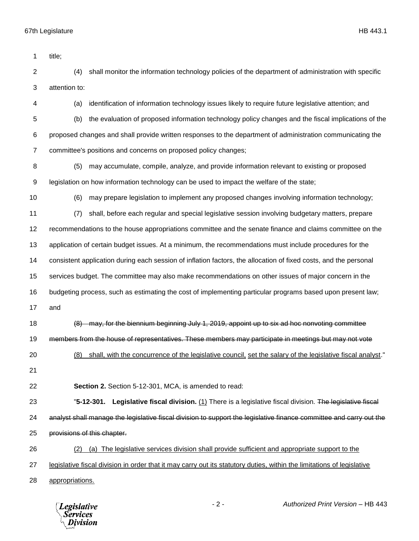| 1              | title;                                                                                                                 |
|----------------|------------------------------------------------------------------------------------------------------------------------|
| $\overline{2}$ | shall monitor the information technology policies of the department of administration with specific<br>(4)             |
| 3              | attention to:                                                                                                          |
| 4              | identification of information technology issues likely to require future legislative attention; and<br>(a)             |
| 5              | the evaluation of proposed information technology policy changes and the fiscal implications of the<br>(b)             |
| 6              | proposed changes and shall provide written responses to the department of administration communicating the             |
| $\overline{7}$ | committee's positions and concerns on proposed policy changes;                                                         |
| 8              | may accumulate, compile, analyze, and provide information relevant to existing or proposed<br>(5)                      |
| 9              | legislation on how information technology can be used to impact the welfare of the state;                              |
| 10             | (6)<br>may prepare legislation to implement any proposed changes involving information technology;                     |
| 11             | shall, before each regular and special legislative session involving budgetary matters, prepare<br>(7)                 |
| 12             | recommendations to the house appropriations committee and the senate finance and claims committee on the               |
| 13             | application of certain budget issues. At a minimum, the recommendations must include procedures for the                |
| 14             | consistent application during each session of inflation factors, the allocation of fixed costs, and the personal       |
| 15             | services budget. The committee may also make recommendations on other issues of major concern in the                   |
| 16             | budgeting process, such as estimating the cost of implementing particular programs based upon present law;             |
| 17             | and                                                                                                                    |
| 18             | may, for the biennium beginning July 1, 2019, appoint up to six ad hoc nonvoting committee                             |
| 19             | members from the house of representatives. These members may participate in meetings but may not vote                  |
| 20             | (8) shall, with the concurrence of the legislative council, set the salary of the legislative fiscal analyst."         |
| 21             |                                                                                                                        |
| 22             | Section 2. Section 5-12-301, MCA, is amended to read:                                                                  |
| 23             | Legislative fiscal division. (1) There is a legislative fiscal division. The legislative fiscal<br>$"5-12-301.$        |
| 24             | analyst shall manage the legislative fiscal division to support the legislative finance committee and carry out the    |
| 25             | provisions of this chapter.                                                                                            |
| 26             | (a) The legislative services division shall provide sufficient and appropriate support to the<br>(2)                   |
| 27             | legislative fiscal division in order that it may carry out its statutory duties, within the limitations of legislative |
| 28             | appropriations.                                                                                                        |

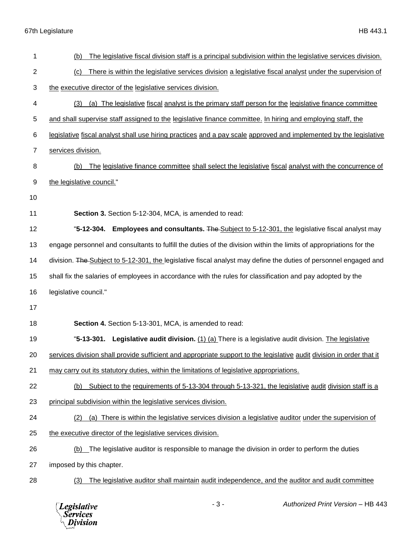67th Legislature HB 443.1

| 1              | The legislative fiscal division staff is a principal subdivision within the legislative services division.<br>(b)     |
|----------------|-----------------------------------------------------------------------------------------------------------------------|
| $\overline{2}$ | There is within the legislative services division a legislative fiscal analyst under the supervision of<br>(c)        |
| 3              | the executive director of the legislative services division.                                                          |
| 4              | (a) The legislative fiscal analyst is the primary staff person for the legislative finance committee<br>(3)           |
| 5              | and shall supervise staff assigned to the legislative finance committee. In hiring and employing staff, the           |
| 6              | legislative fiscal analyst shall use hiring practices and a pay scale approved and implemented by the legislative     |
| $\overline{7}$ | services division.                                                                                                    |
| 8              | The legislative finance committee shall select the legislative fiscal analyst with the concurrence of<br>(b)          |
| 9              | the legislative council."                                                                                             |
| 10             |                                                                                                                       |
| 11             | Section 3. Section 5-12-304, MCA, is amended to read:                                                                 |
| 12             | "5-12-304. Employees and consultants. The Subject to 5-12-301, the legislative fiscal analyst may                     |
| 13             | engage personnel and consultants to fulfill the duties of the division within the limits of appropriations for the    |
| 14             | division. The Subject to 5-12-301, the legislative fiscal analyst may define the duties of personnel engaged and      |
| 15             | shall fix the salaries of employees in accordance with the rules for classification and pay adopted by the            |
| 16             | legislative council."                                                                                                 |
| 17             |                                                                                                                       |
| 18             | Section 4. Section 5-13-301, MCA, is amended to read:                                                                 |
| 19             | Legislative audit division. (1) (a) There is a legislative audit division. The legislative<br>"5-13-301.              |
| 20             | services division shall provide sufficient and appropriate support to the legislative audit division in order that it |
| 21             | may carry out its statutory duties, within the limitations of legislative appropriations.                             |
| 22             | Subject to the requirements of 5-13-304 through 5-13-321, the legislative audit division staff is a<br>(b)            |
| 23             | principal subdivision within the legislative services division.                                                       |
| 24             | (a) There is within the legislative services division a legislative auditor under the supervision of<br>(2)           |
| 25             | the executive director of the legislative services division.                                                          |
| 26             | (b) The legislative auditor is responsible to manage the division in order to perform the duties                      |
| 27             | imposed by this chapter.                                                                                              |
| 28             | The legislative auditor shall maintain audit independence, and the auditor and audit committee<br>(3)                 |
|                |                                                                                                                       |

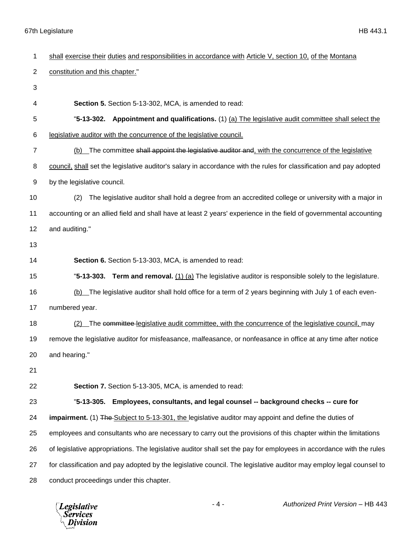## 67th Legislature HB 443.1

| 1              | shall exercise their duties and responsibilities in accordance with Article V, section 10, of the Montana           |
|----------------|---------------------------------------------------------------------------------------------------------------------|
| $\overline{2}$ | constitution and this chapter."                                                                                     |
| 3              |                                                                                                                     |
| 4              | Section 5. Section 5-13-302, MCA, is amended to read:                                                               |
| 5              | "5-13-302. Appointment and qualifications. (1) (a) The legislative audit committee shall select the                 |
| 6              | legislative auditor with the concurrence of the legislative council.                                                |
| $\overline{7}$ | (b) The committee shall appoint the legislative auditor and, with the concurrence of the legislative                |
| 8              | council, shall set the legislative auditor's salary in accordance with the rules for classification and pay adopted |
| 9              | by the legislative council.                                                                                         |
| 10             | The legislative auditor shall hold a degree from an accredited college or university with a major in<br>(2)         |
| 11             | accounting or an allied field and shall have at least 2 years' experience in the field of governmental accounting   |
| 12             | and auditing."                                                                                                      |
| 13             |                                                                                                                     |
| 14             | Section 6. Section 5-13-303, MCA, is amended to read:                                                               |
| 15             | "5-13-303. Term and removal. $(1)$ (a) The legislative auditor is responsible solely to the legislature.            |
| 16             | (b) The legislative auditor shall hold office for a term of 2 years beginning with July 1 of each even-             |
| 17             | numbered year.                                                                                                      |
| 18             | (2) The committee legislative audit committee, with the concurrence of the legislative council, may                 |
| 19             | remove the legislative auditor for misfeasance, malfeasance, or nonfeasance in office at any time after notice      |
| 20             | and hearing."                                                                                                       |
| 21             |                                                                                                                     |
| 22             | Section 7. Section 5-13-305, MCA, is amended to read:                                                               |
| 23             | Employees, consultants, and legal counsel -- background checks -- cure for<br>"5-13-305.                            |
| 24             | impairment. (1) The Subject to 5-13-301, the legislative auditor may appoint and define the duties of               |
| 25             | employees and consultants who are necessary to carry out the provisions of this chapter within the limitations      |
| 26             | of legislative appropriations. The legislative auditor shall set the pay for employees in accordance with the rules |
| 27             | for classification and pay adopted by the legislative council. The legislative auditor may employ legal counsel to  |
| 28             | conduct proceedings under this chapter.                                                                             |